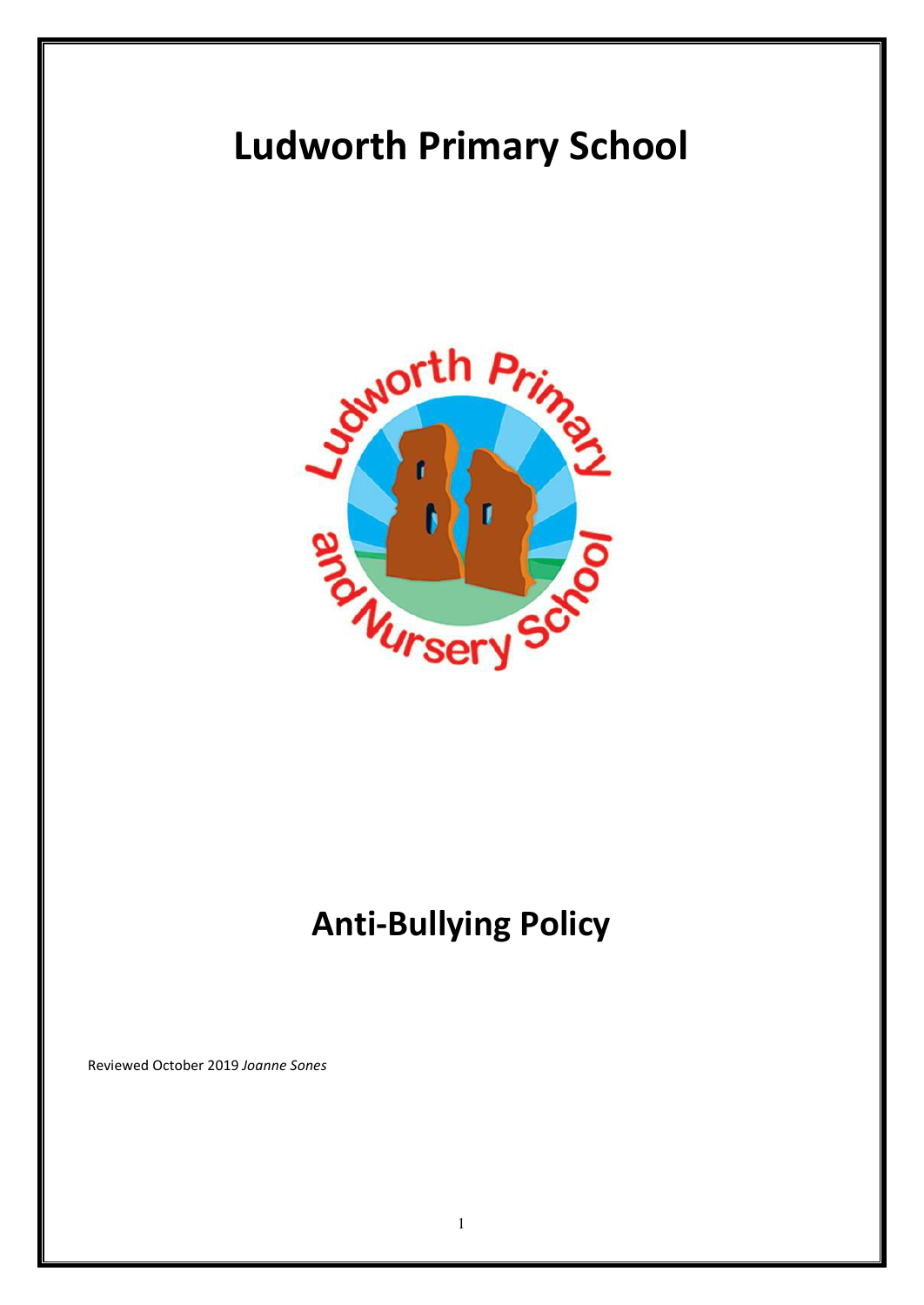# **Ludworth Primary School**



## **Anti-Bullying Policy**

Reviewed October 2019 *Joanne Sones*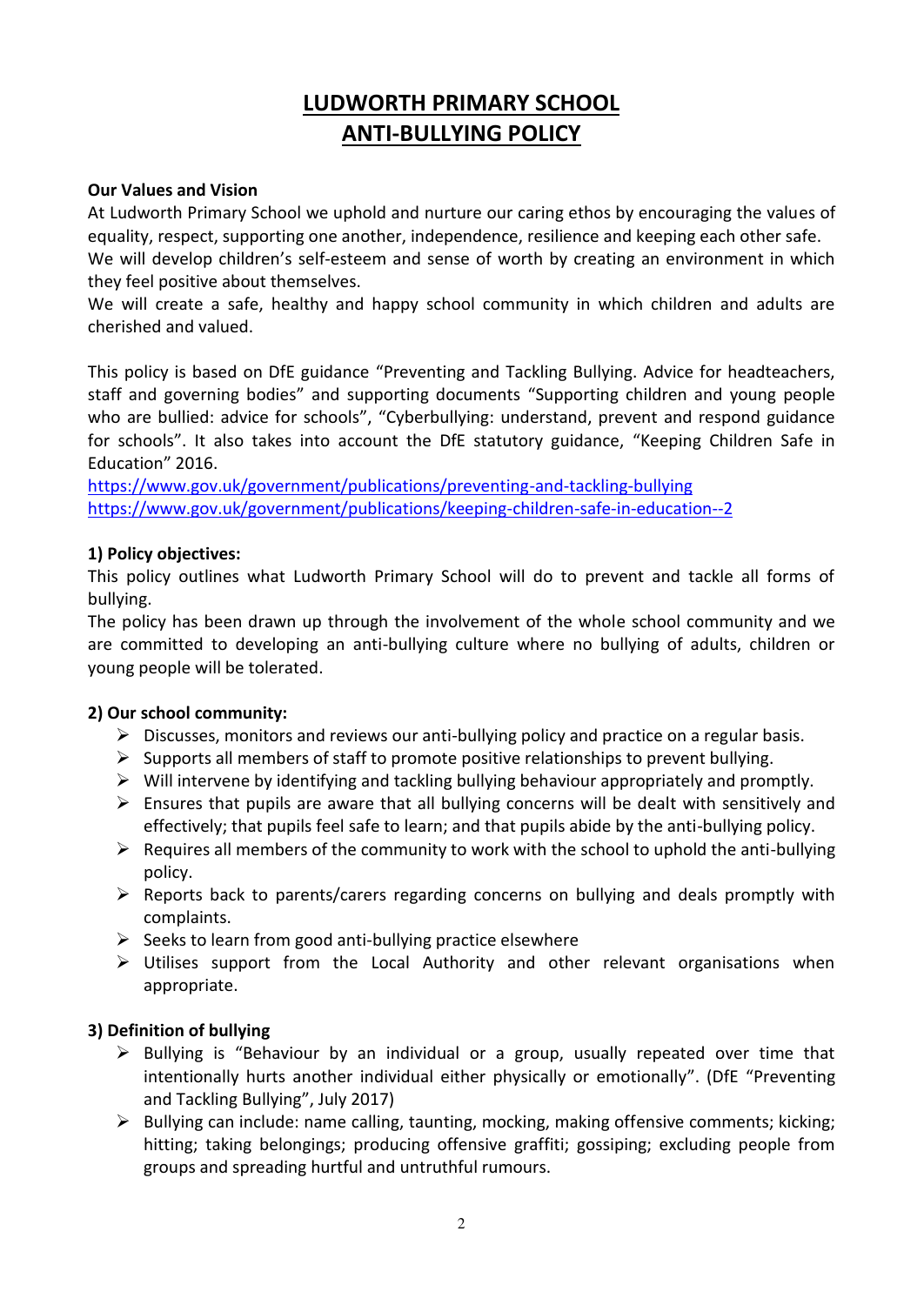### **LUDWORTH PRIMARY SCHOOL ANTI-BULLYING POLICY**

#### **Our Values and Vision**

At Ludworth Primary School we uphold and nurture our caring ethos by encouraging the values of equality, respect, supporting one another, independence, resilience and keeping each other safe.

We will develop children's self-esteem and sense of worth by creating an environment in which they feel positive about themselves.

We will create a safe, healthy and happy school community in which children and adults are cherished and valued.

This policy is based on DfE guidance "Preventing and Tackling Bullying. Advice for headteachers, staff and governing bodies" and supporting documents "Supporting children and young people who are bullied: advice for schools", "Cyberbullying: understand, prevent and respond guidance for schools". It also takes into account the DfE statutory guidance, "Keeping Children Safe in Education" 2016.

<https://www.gov.uk/government/publications/preventing-and-tackling-bullying> <https://www.gov.uk/government/publications/keeping-children-safe-in-education--2>

#### **1) Policy objectives:**

This policy outlines what Ludworth Primary School will do to prevent and tackle all forms of bullying.

The policy has been drawn up through the involvement of the whole school community and we are committed to developing an anti-bullying culture where no bullying of adults, children or young people will be tolerated.

#### **2) Our school community:**

- $\triangleright$  Discusses, monitors and reviews our anti-bullying policy and practice on a regular basis.
- $\triangleright$  Supports all members of staff to promote positive relationships to prevent bullying.
- $\triangleright$  Will intervene by identifying and tackling bullying behaviour appropriately and promptly.
- $\triangleright$  Ensures that pupils are aware that all bullying concerns will be dealt with sensitively and effectively; that pupils feel safe to learn; and that pupils abide by the anti-bullying policy.
- $\triangleright$  Requires all members of the community to work with the school to uphold the anti-bullying policy.
- $\triangleright$  Reports back to parents/carers regarding concerns on bullying and deals promptly with complaints.
- $\triangleright$  Seeks to learn from good anti-bullying practice elsewhere
- $\triangleright$  Utilises support from the Local Authority and other relevant organisations when appropriate.

#### **3) Definition of bullying**

- $\triangleright$  Bullying is "Behaviour by an individual or a group, usually repeated over time that intentionally hurts another individual either physically or emotionally". (DfE "Preventing and Tackling Bullying", July 2017)
- $\triangleright$  Bullying can include: name calling, taunting, mocking, making offensive comments; kicking; hitting; taking belongings; producing offensive graffiti; gossiping; excluding people from groups and spreading hurtful and untruthful rumours.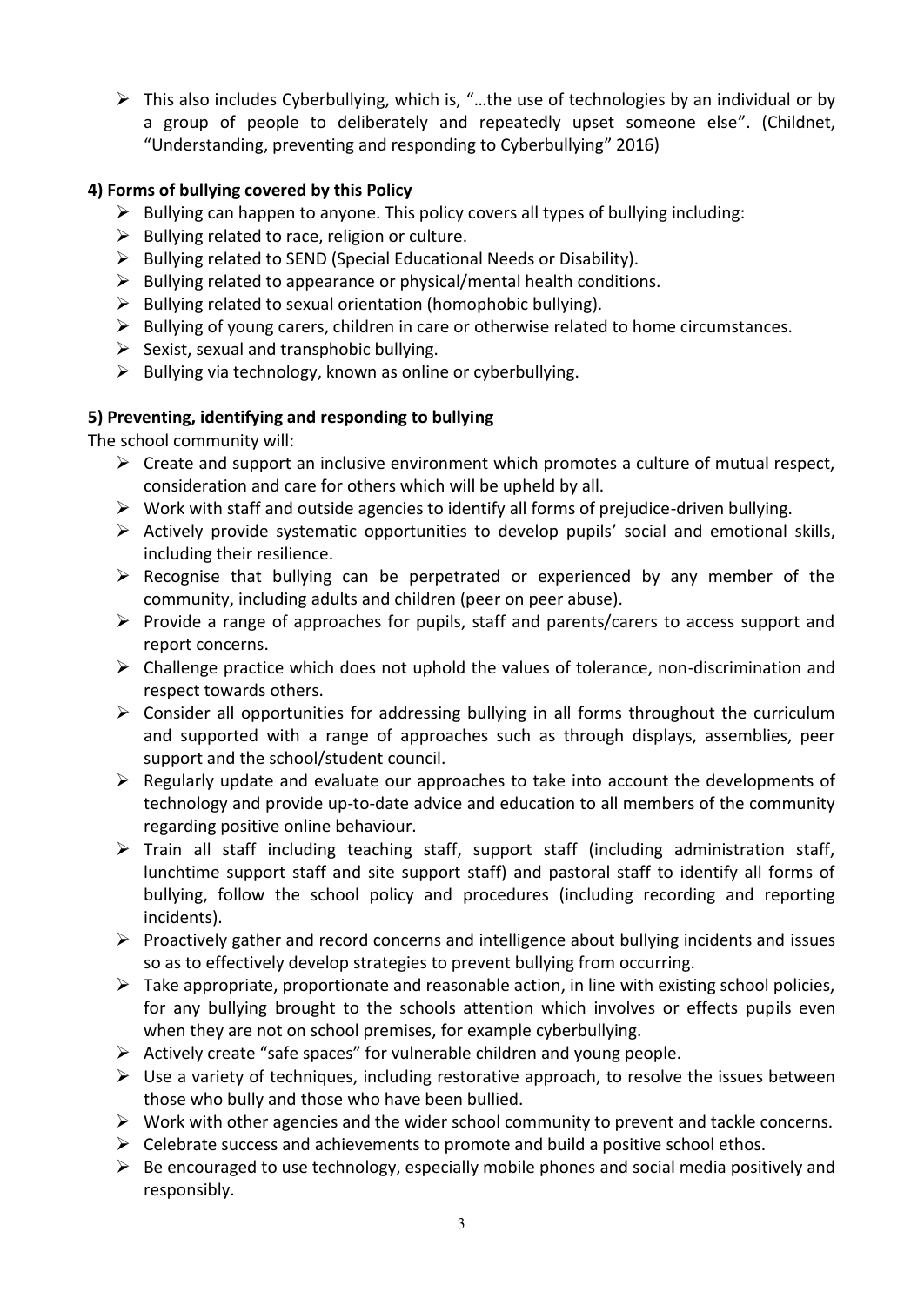$\triangleright$  This also includes Cyberbullying, which is, "...the use of technologies by an individual or by a group of people to deliberately and repeatedly upset someone else". (Childnet, "Understanding, preventing and responding to Cyberbullying" 2016)

#### **4) Forms of bullying covered by this Policy**

- $\triangleright$  Bullying can happen to anyone. This policy covers all types of bullying including:
- $\triangleright$  Bullying related to race, religion or culture.
- $\triangleright$  Bullying related to SEND (Special Educational Needs or Disability).
- $\triangleright$  Bullying related to appearance or physical/mental health conditions.
- $\triangleright$  Bullying related to sexual orientation (homophobic bullying).
- $\triangleright$  Bullying of young carers, children in care or otherwise related to home circumstances.
- $\triangleright$  Sexist, sexual and transphobic bullying.
- $\triangleright$  Bullying via technology, known as online or cyberbullying.

#### **5) Preventing, identifying and responding to bullying**

The school community will:

- $\triangleright$  Create and support an inclusive environment which promotes a culture of mutual respect, consideration and care for others which will be upheld by all.
- $\triangleright$  Work with staff and outside agencies to identify all forms of prejudice-driven bullying.
- $\triangleright$  Actively provide systematic opportunities to develop pupils' social and emotional skills, including their resilience.
- $\triangleright$  Recognise that bullying can be perpetrated or experienced by any member of the community, including adults and children (peer on peer abuse).
- $\triangleright$  Provide a range of approaches for pupils, staff and parents/carers to access support and report concerns.
- $\triangleright$  Challenge practice which does not uphold the values of tolerance, non-discrimination and respect towards others.
- $\triangleright$  Consider all opportunities for addressing bullying in all forms throughout the curriculum and supported with a range of approaches such as through displays, assemblies, peer support and the school/student council.
- $\triangleright$  Regularly update and evaluate our approaches to take into account the developments of technology and provide up-to-date advice and education to all members of the community regarding positive online behaviour.
- $\triangleright$  Train all staff including teaching staff, support staff (including administration staff, lunchtime support staff and site support staff) and pastoral staff to identify all forms of bullying, follow the school policy and procedures (including recording and reporting incidents).
- $\triangleright$  Proactively gather and record concerns and intelligence about bullying incidents and issues so as to effectively develop strategies to prevent bullying from occurring.
- $\triangleright$  Take appropriate, proportionate and reasonable action, in line with existing school policies, for any bullying brought to the schools attention which involves or effects pupils even when they are not on school premises, for example cyberbullying.
- $\triangleright$  Actively create "safe spaces" for vulnerable children and young people.
- $\triangleright$  Use a variety of techniques, including restorative approach, to resolve the issues between those who bully and those who have been bullied.
- $\triangleright$  Work with other agencies and the wider school community to prevent and tackle concerns.
- $\triangleright$  Celebrate success and achievements to promote and build a positive school ethos.
- $\triangleright$  Be encouraged to use technology, especially mobile phones and social media positively and responsibly.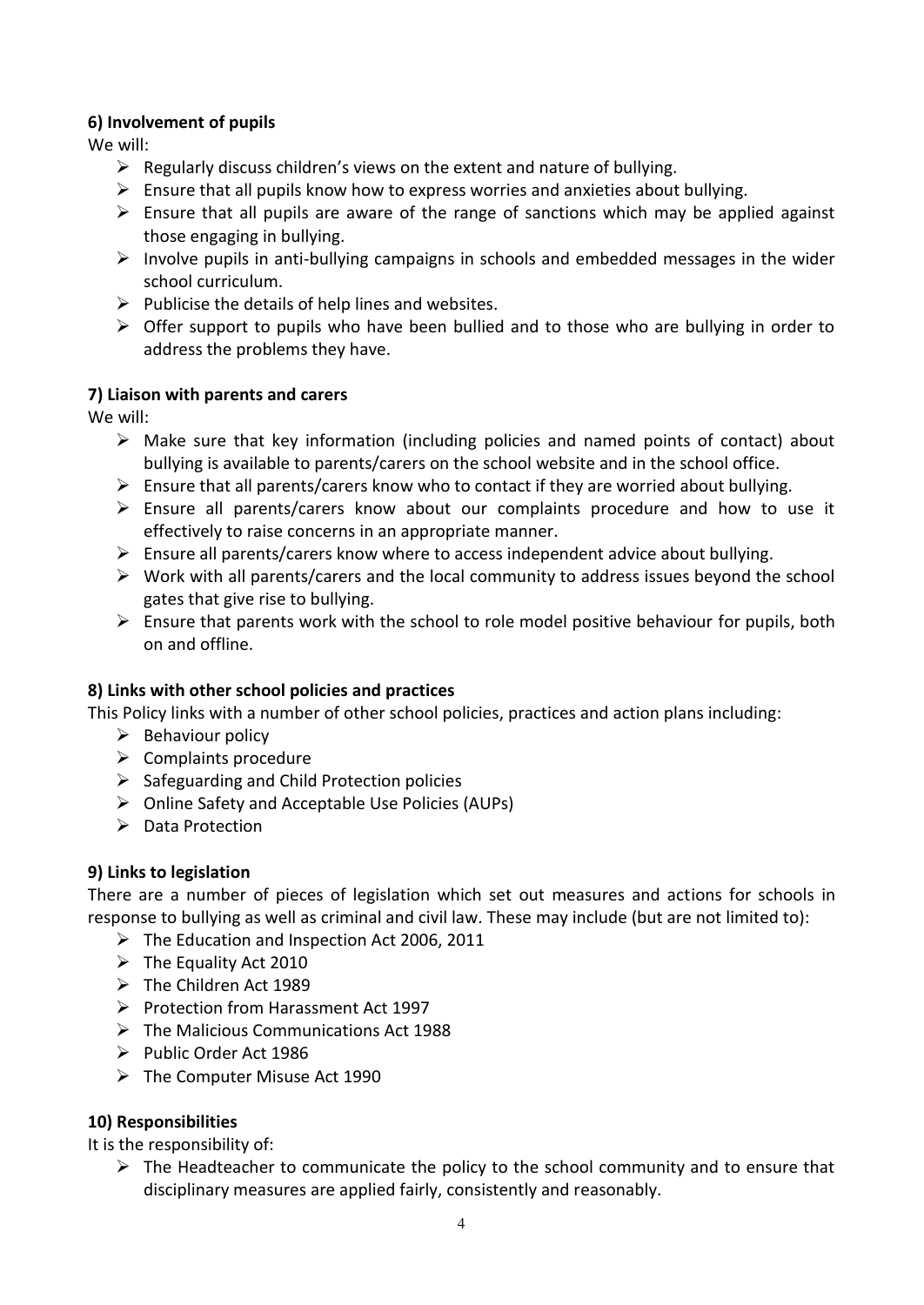#### **6) Involvement of pupils**

We will:

- $\triangleright$  Regularly discuss children's views on the extent and nature of bullying.
- $\triangleright$  Ensure that all pupils know how to express worries and anxieties about bullying.
- $\triangleright$  Ensure that all pupils are aware of the range of sanctions which may be applied against those engaging in bullying.
- $\triangleright$  Involve pupils in anti-bullying campaigns in schools and embedded messages in the wider school curriculum.
- $\triangleright$  Publicise the details of help lines and websites.
- $\triangleright$  Offer support to pupils who have been bullied and to those who are bullying in order to address the problems they have.

#### **7) Liaison with parents and carers**

We will:

- $\triangleright$  Make sure that key information (including policies and named points of contact) about bullying is available to parents/carers on the school website and in the school office.
- $\triangleright$  Ensure that all parents/carers know who to contact if they are worried about bullying.
- $\triangleright$  Ensure all parents/carers know about our complaints procedure and how to use it effectively to raise concerns in an appropriate manner.
- $\triangleright$  Ensure all parents/carers know where to access independent advice about bullying.
- $\triangleright$  Work with all parents/carers and the local community to address issues beyond the school gates that give rise to bullying.
- $\triangleright$  Ensure that parents work with the school to role model positive behaviour for pupils, both on and offline.

#### **8) Links with other school policies and practices**

This Policy links with a number of other school policies, practices and action plans including:

- $\triangleright$  Behaviour policy
- $\triangleright$  Complaints procedure
- $\triangleright$  Safeguarding and Child Protection policies
- Online Safety and Acceptable Use Policies (AUPs)
- $\triangleright$  Data Protection

#### **9) Links to legislation**

There are a number of pieces of legislation which set out measures and actions for schools in response to bullying as well as criminal and civil law. These may include (but are not limited to):

- $\triangleright$  The Education and Inspection Act 2006, 2011
- $\triangleright$  The Equality Act 2010
- The Children Act 1989
- $\triangleright$  Protection from Harassment Act 1997
- $\triangleright$  The Malicious Communications Act 1988
- $\triangleright$  Public Order Act 1986
- The Computer Misuse Act 1990

#### **10) Responsibilities**

It is the responsibility of:

 $\triangleright$  The Headteacher to communicate the policy to the school community and to ensure that disciplinary measures are applied fairly, consistently and reasonably.